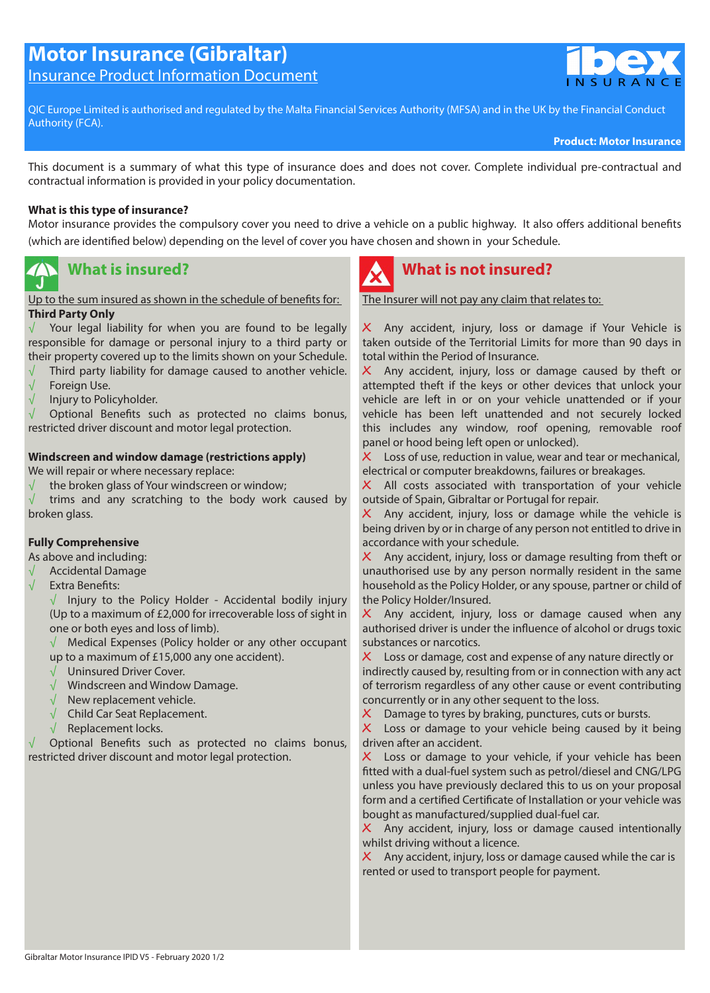# **Motor Insurance (Gibraltar)**

Insurance Product Information Document



QIC Europe Limited is authorised and regulated by the Malta Financial Services Authority (MFSA) and in the UK by the Financial Conduct Authority (FCA).

**Product: Motor Insurance**

This document is a summary of what this type of insurance does and does not cover. Complete individual pre-contractual and contractual information is provided in your policy documentation.

#### **What is this type of insurance?**

Motor insurance provides the compulsory cover you need to drive a vehicle on a public highway. It also offers additional benefits (which are identified below) depending on the level of cover you have chosen and shown in your Schedule.

#### **What is insured?** IJ

Up to the sum insured as shown in the schedule of benefits for: **Third Party Only**

 $\sqrt{ }$  Your legal liability for when you are found to be legally responsible for damage or personal injury to a third party or their property covered up to the limits shown on your Schedule.

- $\sqrt{\phantom{a}}$  Third party liability for damage caused to another vehicle.
- √ Foreign Use.
- $\sqrt{\phantom{a}}$  Injury to Policyholder.

√ Optional Benefits such as protected no claims bonus, restricted driver discount and motor legal protection.

#### **Windscreen and window damage (restrictions apply)**

We will repair or where necessary replace:

 $\sqrt{\phantom{a}}$  the broken glass of Your windscreen or window;

trims and any scratching to the body work caused by broken glass.

#### **Fully Comprehensive**

As above and including:

- √ Accidental Damage
- √ Extra Benefits:

 $\sqrt{ }$  Injury to the Policy Holder - Accidental bodily injury (Up to a maximum of £2,000 for irrecoverable loss of sight in one or both eyes and loss of limb).

√ Medical Expenses (Policy holder or any other occupant up to a maximum of £15,000 any one accident).

- √ Uninsured Driver Cover.
- √ Windscreen and Window Damage.
- √ New replacement vehicle.
- √ Child Car Seat Replacement.
- √ Replacement locks.

√ Optional Benefits such as protected no claims bonus, restricted driver discount and motor legal protection.



### **What is not insured?**

The Insurer will not pay any claim that relates to:

**،** Any accident, injury, loss or damage if Your Vehicle is taken outside of the Territorial Limits for more than 90 days in total within the Period of Insurance.

**،** Any accident, injury, loss or damage caused by theft or attempted theft if the keys or other devices that unlock your vehicle are left in or on your vehicle unattended or if your vehicle has been left unattended and not securely locked this includes any window, roof opening, removable roof panel or hood being left open or unlocked).

**،** Loss of use, reduction in value, wear and tear or mechanical, electrical or computer breakdowns, failures or breakages.

X All costs associated with transportation of your vehicle outside of Spain, Gibraltar or Portugal for repair.

**،** Any accident, injury, loss or damage while the vehicle is being driven by or in charge of any person not entitled to drive in accordance with your schedule.

**،** Any accident, injury, loss or damage resulting from theft or unauthorised use by any person normally resident in the same household as the Policy Holder, or any spouse, partner or child of the Policy Holder/Insured.

X Any accident, injury, loss or damage caused when any authorised driver is under the influence of alcohol or drugs toxic substances or narcotics.

**،** Loss or damage, cost and expense of any nature directly or indirectly caused by, resulting from or in connection with any act of terrorism regardless of any other cause or event contributing concurrently or in any other sequent to the loss.

**X** Damage to tyres by braking, punctures, cuts or bursts.<br>**X** Loss or damage to your vehicle being caused by it

**،** Loss or damage to your vehicle being caused by it being driven after an accident.

X Loss or damage to your vehicle, if your vehicle has been fitted with a dual-fuel system such as petrol/diesel and CNG/LPG unless you have previously declared this to us on your proposal form and a certified Certificate of Installation or your vehicle was bought as manufactured/supplied dual-fuel car.

**،** Any accident, injury, loss or damage caused intentionally whilst driving without a licence.

**،** Any accident, injury, loss or damage caused while the car is rented or used to transport people for payment.